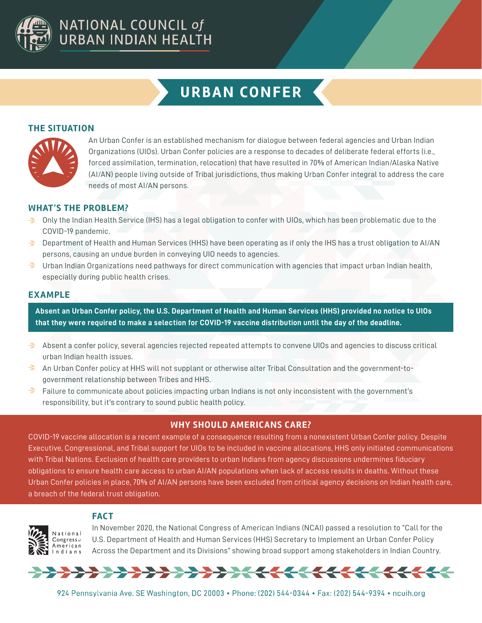

# **URBAN CONFER**

### **THE SITUATION**



An Urban Confer is an established mechanism for dialogue between federal agencies and Urban Indian Organizations (UIOs). Urban Confer policies are a response to decades of deliberate federal efforts (i.e., forced assimilation, termination, relocation) that have resulted in 70% of American Indian/Alaska Native (AI/AN) people living outside of Tribal jurisdictions, thus making Urban Confer integral to address the care needs of most AI/AN persons.

## **WHAT'S THE PROBLEM?**

- Only the Indian Health Service (IHS) has a legal obligation to confer with UIOs, which has been problematic due to the COVID-19 pandemic.
- $\blacktriangleright$  Department of Health and Human Services (HHS) have been operating as if only the IHS has a trust obligation to AI/AN persons, causing an undue burden in conveying UIO needs to agencies.
- $\rightarrow$  Urban Indian Organizations need pathways for direct communication with agencies that impact urban Indian health, especially during public health crises.

#### **EXAMPLE**

**Absent an Urban Confer policy, the U.S. Department of Health and Human Services (HHS) provided no notice to UIOs that they were required to make a selection for COVID-19 vaccine distribution until the day of the deadline.** 

- $\rightarrow$  Absent a confer policy, several agencies rejected repeated attempts to convene UIOs and agencies to discuss critical urban Indian health issues.
- An Urban Confer policy at HHS will not supplant or otherwise alter Tribal Consultation and the government-togovernment relationship between Tribes and HHS.
- $\rightarrow$ Failure to communicate about policies impacting urban Indians is not only inconsistent with the government's responsibility, but it's contrary to sound public health policy.

#### **WHY SHOULD AMERICANS CARE?**

COVID-19 vaccine allocation is a recent example of a consequence resulting from a nonexistent Urban Confer policy. Despite Executive, Congressional, and Tribal support for UIOs to be included in vaccine allocations, HHS only initiated communications with Tribal Nations. Exclusion of health care providers to urban Indians from agency discussions undermines fiduciary obligations to ensure health care access to urban AI/AN populations when lack of access results in deaths. Without these Urban Confer policies in place, 70% of AI/AN persons have been excluded from critical agency decisions on Indian health care, a breach of the federal trust obligation.

# **FACT**



In November 2020, the National Congress of American Indians (NCAI) passed a resolution to "Call for the U.S. Department of Health and Human Services (HHS) Secretary to Implement an Urban Confer Policy Across the Department and its Divisions" showing broad support among stakeholders in Indian Country.